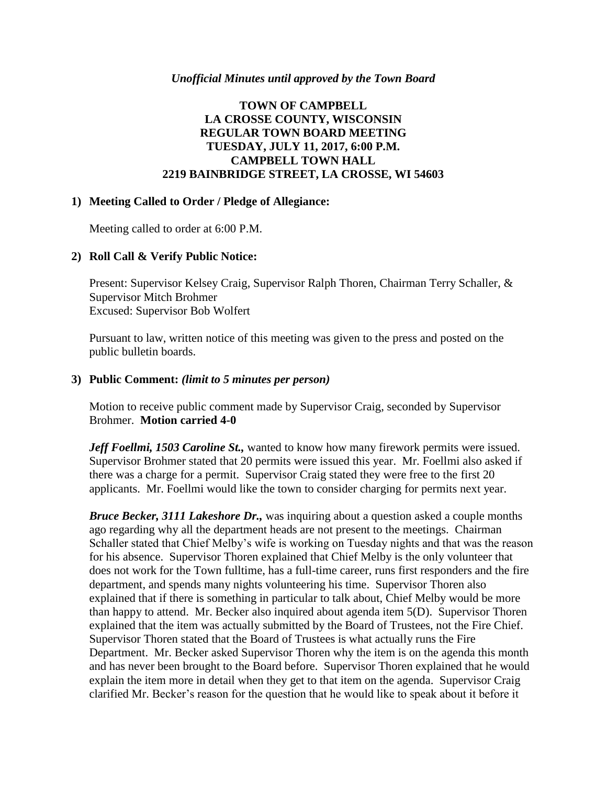### *Unofficial Minutes until approved by the Town Board*

## **TOWN OF CAMPBELL LA CROSSE COUNTY, WISCONSIN REGULAR TOWN BOARD MEETING TUESDAY, JULY 11, 2017, 6:00 P.M. CAMPBELL TOWN HALL 2219 BAINBRIDGE STREET, LA CROSSE, WI 54603**

#### **1) Meeting Called to Order / Pledge of Allegiance:**

Meeting called to order at 6:00 P.M.

### **2) Roll Call & Verify Public Notice:**

Present: Supervisor Kelsey Craig, Supervisor Ralph Thoren, Chairman Terry Schaller, & Supervisor Mitch Brohmer Excused: Supervisor Bob Wolfert

Pursuant to law, written notice of this meeting was given to the press and posted on the public bulletin boards.

### **3) Public Comment:** *(limit to 5 minutes per person)*

Motion to receive public comment made by Supervisor Craig, seconded by Supervisor Brohmer. **Motion carried 4-0**

*Jeff Foellmi, 1503 Caroline St.,* wanted to know how many firework permits were issued. Supervisor Brohmer stated that 20 permits were issued this year. Mr. Foellmi also asked if there was a charge for a permit. Supervisor Craig stated they were free to the first 20 applicants. Mr. Foellmi would like the town to consider charging for permits next year.

*Bruce Becker, 3111 Lakeshore Dr.,* was inquiring about a question asked a couple months ago regarding why all the department heads are not present to the meetings. Chairman Schaller stated that Chief Melby's wife is working on Tuesday nights and that was the reason for his absence. Supervisor Thoren explained that Chief Melby is the only volunteer that does not work for the Town fulltime, has a full-time career, runs first responders and the fire department, and spends many nights volunteering his time. Supervisor Thoren also explained that if there is something in particular to talk about, Chief Melby would be more than happy to attend. Mr. Becker also inquired about agenda item 5(D). Supervisor Thoren explained that the item was actually submitted by the Board of Trustees, not the Fire Chief. Supervisor Thoren stated that the Board of Trustees is what actually runs the Fire Department. Mr. Becker asked Supervisor Thoren why the item is on the agenda this month and has never been brought to the Board before. Supervisor Thoren explained that he would explain the item more in detail when they get to that item on the agenda. Supervisor Craig clarified Mr. Becker's reason for the question that he would like to speak about it before it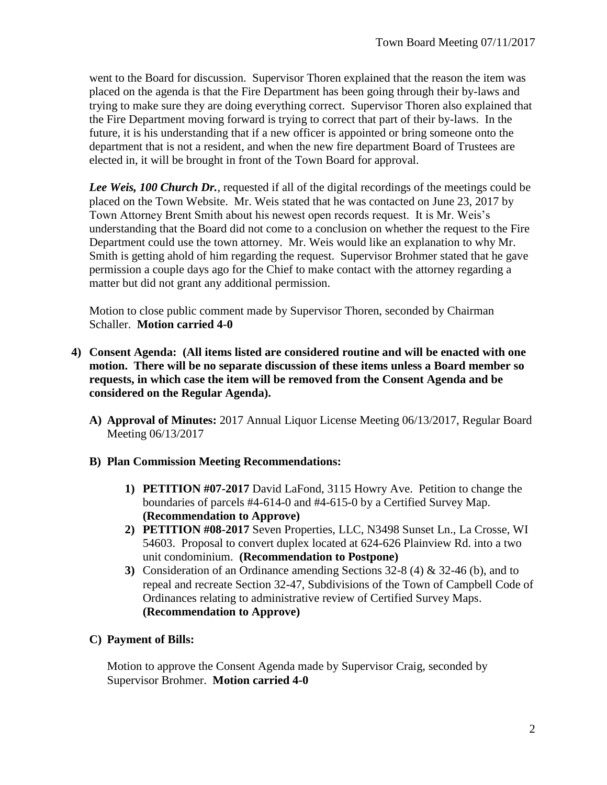went to the Board for discussion. Supervisor Thoren explained that the reason the item was placed on the agenda is that the Fire Department has been going through their by-laws and trying to make sure they are doing everything correct. Supervisor Thoren also explained that the Fire Department moving forward is trying to correct that part of their by-laws. In the future, it is his understanding that if a new officer is appointed or bring someone onto the department that is not a resident, and when the new fire department Board of Trustees are elected in, it will be brought in front of the Town Board for approval.

Lee Weis, 100 Church Dr., requested if all of the digital recordings of the meetings could be placed on the Town Website. Mr. Weis stated that he was contacted on June 23, 2017 by Town Attorney Brent Smith about his newest open records request. It is Mr. Weis's understanding that the Board did not come to a conclusion on whether the request to the Fire Department could use the town attorney. Mr. Weis would like an explanation to why Mr. Smith is getting ahold of him regarding the request. Supervisor Brohmer stated that he gave permission a couple days ago for the Chief to make contact with the attorney regarding a matter but did not grant any additional permission.

Motion to close public comment made by Supervisor Thoren, seconded by Chairman Schaller. **Motion carried 4-0**

- **4) Consent Agenda: (All items listed are considered routine and will be enacted with one motion. There will be no separate discussion of these items unless a Board member so requests, in which case the item will be removed from the Consent Agenda and be considered on the Regular Agenda).**
	- **A) Approval of Minutes:** 2017 Annual Liquor License Meeting 06/13/2017, Regular Board Meeting 06/13/2017
	- **B) Plan Commission Meeting Recommendations:**
		- **1) PETITION #07-2017** David LaFond, 3115 Howry Ave. Petition to change the boundaries of parcels #4-614-0 and #4-615-0 by a Certified Survey Map. **(Recommendation to Approve)**
		- **2) PETITION #08-2017** Seven Properties, LLC, N3498 Sunset Ln., La Crosse, WI 54603. Proposal to convert duplex located at 624-626 Plainview Rd. into a two unit condominium. **(Recommendation to Postpone)**
		- **3)** Consideration of an Ordinance amending Sections 32-8 (4) & 32-46 (b), and to repeal and recreate Section 32-47, Subdivisions of the Town of Campbell Code of Ordinances relating to administrative review of Certified Survey Maps. **(Recommendation to Approve)**
	- **C) Payment of Bills:**

Motion to approve the Consent Agenda made by Supervisor Craig, seconded by Supervisor Brohmer. **Motion carried 4-0**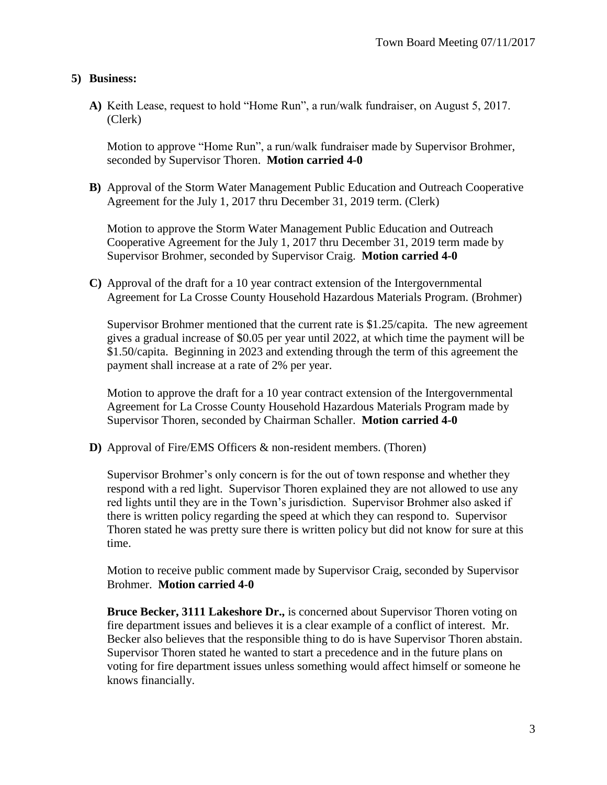## **5) Business:**

**A)** Keith Lease, request to hold "Home Run", a run/walk fundraiser, on August 5, 2017. (Clerk)

Motion to approve "Home Run", a run/walk fundraiser made by Supervisor Brohmer, seconded by Supervisor Thoren. **Motion carried 4-0**

**B)** Approval of the Storm Water Management Public Education and Outreach Cooperative Agreement for the July 1, 2017 thru December 31, 2019 term. (Clerk)

Motion to approve the Storm Water Management Public Education and Outreach Cooperative Agreement for the July 1, 2017 thru December 31, 2019 term made by Supervisor Brohmer, seconded by Supervisor Craig. **Motion carried 4-0**

**C)** Approval of the draft for a 10 year contract extension of the Intergovernmental Agreement for La Crosse County Household Hazardous Materials Program. (Brohmer)

Supervisor Brohmer mentioned that the current rate is \$1.25/capita. The new agreement gives a gradual increase of \$0.05 per year until 2022, at which time the payment will be \$1.50/capita. Beginning in 2023 and extending through the term of this agreement the payment shall increase at a rate of 2% per year.

Motion to approve the draft for a 10 year contract extension of the Intergovernmental Agreement for La Crosse County Household Hazardous Materials Program made by Supervisor Thoren, seconded by Chairman Schaller. **Motion carried 4-0**

**D)** Approval of Fire/EMS Officers & non-resident members. (Thoren)

Supervisor Brohmer's only concern is for the out of town response and whether they respond with a red light. Supervisor Thoren explained they are not allowed to use any red lights until they are in the Town's jurisdiction. Supervisor Brohmer also asked if there is written policy regarding the speed at which they can respond to. Supervisor Thoren stated he was pretty sure there is written policy but did not know for sure at this time.

Motion to receive public comment made by Supervisor Craig, seconded by Supervisor Brohmer. **Motion carried 4-0**

**Bruce Becker, 3111 Lakeshore Dr.,** is concerned about Supervisor Thoren voting on fire department issues and believes it is a clear example of a conflict of interest. Mr. Becker also believes that the responsible thing to do is have Supervisor Thoren abstain. Supervisor Thoren stated he wanted to start a precedence and in the future plans on voting for fire department issues unless something would affect himself or someone he knows financially.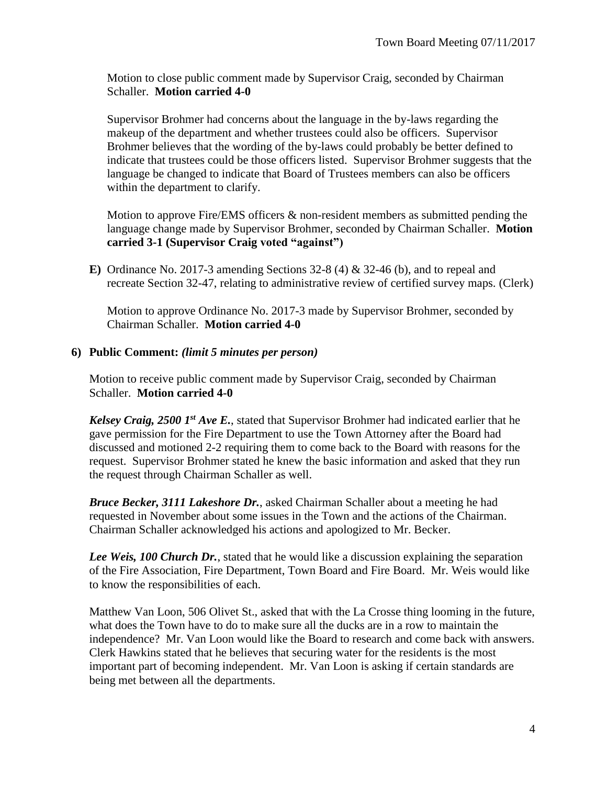Motion to close public comment made by Supervisor Craig, seconded by Chairman Schaller. **Motion carried 4-0**

Supervisor Brohmer had concerns about the language in the by-laws regarding the makeup of the department and whether trustees could also be officers. Supervisor Brohmer believes that the wording of the by-laws could probably be better defined to indicate that trustees could be those officers listed. Supervisor Brohmer suggests that the language be changed to indicate that Board of Trustees members can also be officers within the department to clarify.

Motion to approve Fire/EMS officers & non-resident members as submitted pending the language change made by Supervisor Brohmer, seconded by Chairman Schaller. **Motion carried 3-1 (Supervisor Craig voted "against")**

**E)** Ordinance No. 2017-3 amending Sections 32-8 (4) & 32-46 (b), and to repeal and recreate Section 32-47, relating to administrative review of certified survey maps. (Clerk)

Motion to approve Ordinance No. 2017-3 made by Supervisor Brohmer, seconded by Chairman Schaller. **Motion carried 4-0**

# **6) Public Comment:** *(limit 5 minutes per person)*

Motion to receive public comment made by Supervisor Craig, seconded by Chairman Schaller. **Motion carried 4-0**

*Kelsey Craig, 2500 1st Ave E.*, stated that Supervisor Brohmer had indicated earlier that he gave permission for the Fire Department to use the Town Attorney after the Board had discussed and motioned 2-2 requiring them to come back to the Board with reasons for the request. Supervisor Brohmer stated he knew the basic information and asked that they run the request through Chairman Schaller as well.

*Bruce Becker, 3111 Lakeshore Dr.*, asked Chairman Schaller about a meeting he had requested in November about some issues in the Town and the actions of the Chairman. Chairman Schaller acknowledged his actions and apologized to Mr. Becker.

*Lee Weis, 100 Church Dr.*, stated that he would like a discussion explaining the separation of the Fire Association, Fire Department, Town Board and Fire Board. Mr. Weis would like to know the responsibilities of each.

Matthew Van Loon, 506 Olivet St., asked that with the La Crosse thing looming in the future, what does the Town have to do to make sure all the ducks are in a row to maintain the independence? Mr. Van Loon would like the Board to research and come back with answers. Clerk Hawkins stated that he believes that securing water for the residents is the most important part of becoming independent. Mr. Van Loon is asking if certain standards are being met between all the departments.